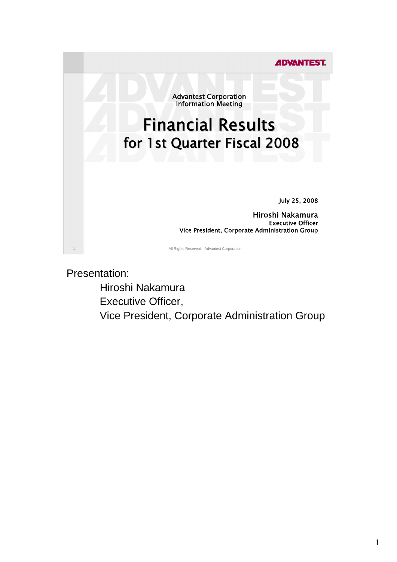

Presentation:

 Hiroshi Nakamura Executive Officer, Vice President, Corporate Administration Group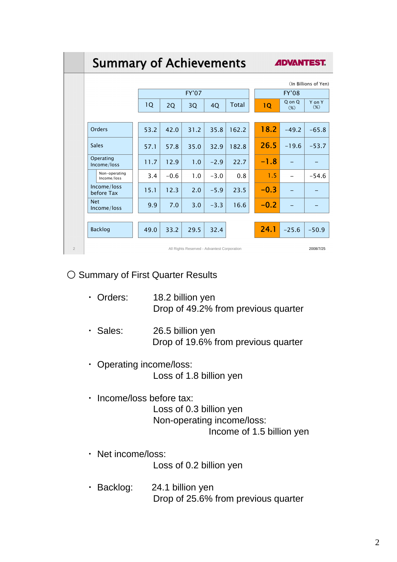|                | <b>Summary of Achievements</b>              |      |        |                    |        |              |                      | <b>ADVANTEST.</b>                |                  |  |
|----------------|---------------------------------------------|------|--------|--------------------|--------|--------------|----------------------|----------------------------------|------------------|--|
|                |                                             |      |        |                    |        |              | (In Billions of Yen) |                                  |                  |  |
|                |                                             | 1Q   | 2Q     | <b>FY'07</b><br>3Q | 4Q     | <b>Total</b> | 1Q                   | <b>FY'08</b><br>Q on Q<br>$(\%)$ | Y on Y<br>$(\%)$ |  |
|                | Orders                                      | 53.2 | 42.0   | 31.2               | 35.8   | 162.2        | 18.2                 | $-49.2$                          | $-65.8$          |  |
|                | <b>Sales</b>                                | 57.1 | 57.8   | 35.0               | 32.9   | 182.8        | 26.5                 | $-19.6$                          | $-53.7$          |  |
|                | Operating<br>Income/loss                    | 11.7 | 12.9   | 1.0                | $-2.9$ | 22.7         | $-1.8$               |                                  |                  |  |
|                | Non-operating<br>Income/loss                | 3.4  | $-0.6$ | 1.0                | $-3.0$ | 0.8          | 1.5                  |                                  | $-54.6$          |  |
|                | Income/loss<br>before Tax                   | 15.1 | 12.3   | 2.0                | $-5.9$ | 23.5         | $-0.3$               |                                  |                  |  |
|                | <b>Net</b><br>Income/loss                   | 9.9  | 7.0    | 3.0                | $-3.3$ | 16.6         | $-0.2$               |                                  |                  |  |
|                | <b>Backlog</b>                              | 49.0 | 33.2   | 29.5               | 32.4   |              | 24.1                 | $-25.6$                          | $-50.9$          |  |
| $\overline{2}$ | All Rights Reserved - Advantest Corporation |      |        |                    |        |              |                      | 2008/7/25                        |                  |  |

## ○ Summary of First Quarter Results

- ・ Orders: 18.2 billion yen Drop of 49.2% from previous quarter
- ・ Sales: 26.5 billion yen Drop of 19.6% from previous quarter
- ・ Operating income/loss: Loss of 1.8 billion yen
- ・ Income/loss before tax: Loss of 0.3 billion yen Non-operating income/loss: Income of 1.5 billion yen
- ・ Net income/loss: Loss of 0.2 billion yen
- ・ Backlog: 24.1 billion yen Drop of 25.6% from previous quarter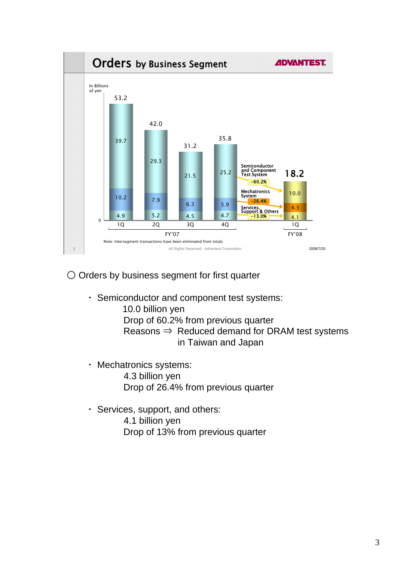

○ Orders by business segment for first quarter

・ Semiconductor and component test systems:

 10.0 billion yen Drop of 60.2% from previous quarter Reasons  $\Rightarrow$  Reduced demand for DRAM test systems in Taiwan and Japan

- ・ Mechatronics systems: 4.3 billion yen Drop of 26.4% from previous quarter
- ・ Services, support, and others: 4.1 billion yen Drop of 13% from previous quarter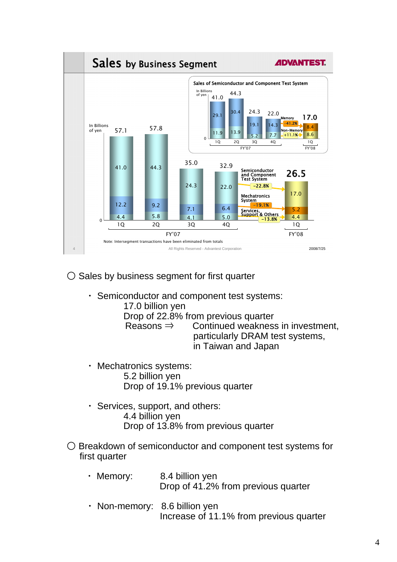

 $\bigcirc$  Sales by business segment for first quarter

- ・ Semiconductor and component test systems: 17.0 billion yen Drop of 22.8% from previous quarter Reasons  $\Rightarrow$  Continued weakness in investment, particularly DRAM test systems, in Taiwan and Japan
- ・ Mechatronics systems: 5.2 billion yen Drop of 19.1% previous quarter
- ・ Services, support, and others: 4.4 billion yen Drop of 13.8% from previous quarter
- Breakdown of semiconductor and component test systems for first quarter
	- ・ Memory: 8.4 billion yen Drop of 41.2% from previous quarter
	- ・ Non-memory: 8.6 billion yen Increase of 11.1% from previous quarter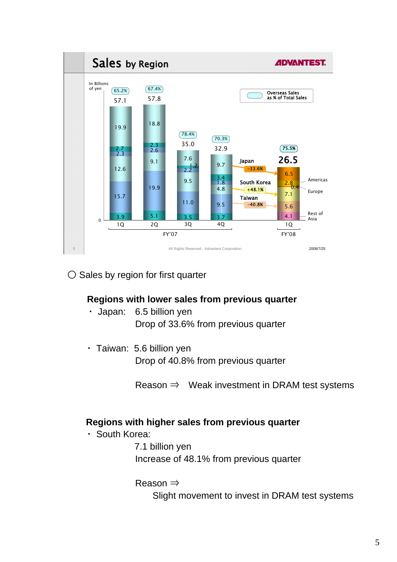

○ Sales by region for first quarter

# **Regions with lower sales from previous quarter**

- ・ Japan: 6.5 billion yen Drop of 33.6% from previous quarter
- ・ Taiwan: 5.6 billion yen Drop of 40.8% from previous quarter

Reason  $\Rightarrow$  Weak investment in DRAM test systems

### **Regions with higher sales from previous quarter**

・ South Korea:

7.1 billion yen Increase of 48.1% from previous quarter

Reason ⇒

Slight movement to invest in DRAM test systems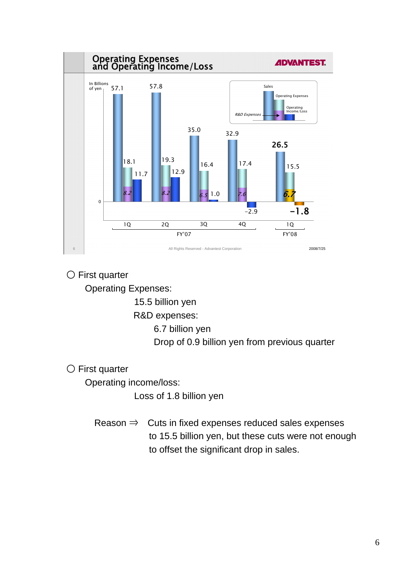

○ First quarter

Operating Expenses:

15.5 billion yen

R&D expenses:

6.7 billion yen

Drop of 0.9 billion yen from previous quarter

○ First quarter

Operating income/loss:

Loss of 1.8 billion yen

Reason  $\Rightarrow$  Cuts in fixed expenses reduced sales expenses to 15.5 billion yen, but these cuts were not enough to offset the significant drop in sales.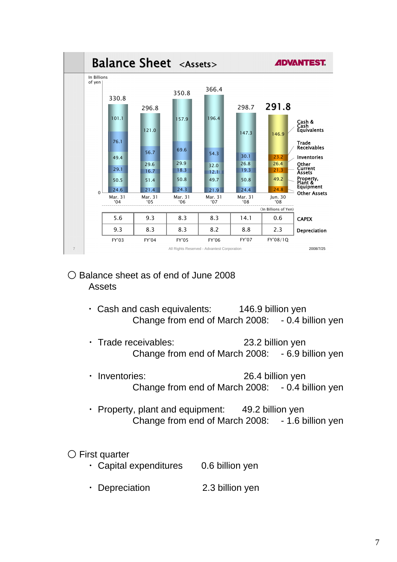

### ○ Balance sheet as of end of June 2008 Assets

- ・ Cash and cash equivalents: 146.9 billion yen Change from end of March 2008: - 0.4 billion yen
- Trade receivables: 23.2 billion yen Change from end of March 2008: - 6.9 billion yen
- Inventories: 26.4 billion yen Change from end of March 2008: - 0.4 billion yen
- ・ Property, plant and equipment: 49.2 billion yen Change from end of March 2008: - 1.6 billion yen
- First quarter
	- ・ Capital expenditures 0.6 billion yen
	- Depreciation 2.3 billion yen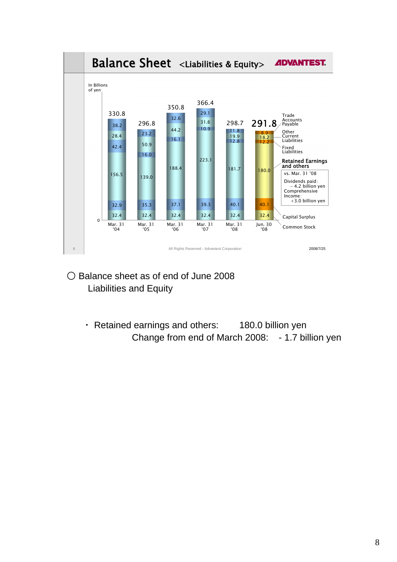

- Balance sheet as of end of June 2008 Liabilities and Equity
	- ・ Retained earnings and others: 180.0 billion yen Change from end of March 2008: - 1.7 billion yen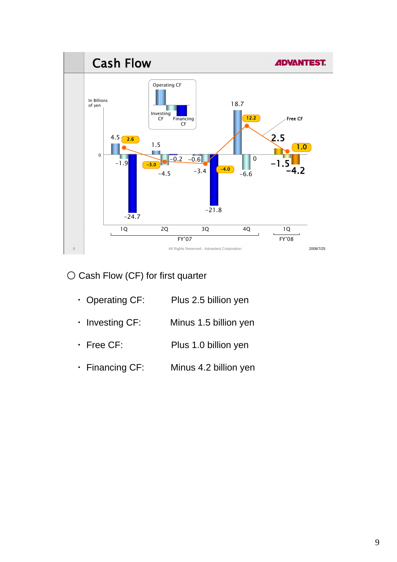

○ Cash Flow (CF) for first quarter

| $\cdot$ Operating CF: | Plus 2.5 billion yen  |
|-----------------------|-----------------------|
| $\cdot$ Investing CF: | Minus 1.5 billion yen |
| $\cdot$ Free CF:      | Plus 1.0 billion yen  |
| · Financing CF:       | Minus 4.2 billion yen |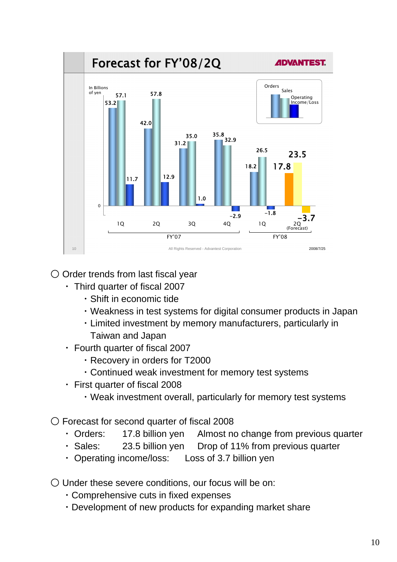

# ○ Order trends from last fiscal year

- ・ Third quarter of fiscal 2007
	- ・Shift in economic tide
	- ・Weakness in test systems for digital consumer products in Japan
	- ・Limited investment by memory manufacturers, particularly in Taiwan and Japan
- ・ Fourth quarter of fiscal 2007
	- ・Recovery in orders for T2000
	- ・Continued weak investment for memory test systems
- ・ First quarter of fiscal 2008
	- ・Weak investment overall, particularly for memory test systems

○ Forecast for second quarter of fiscal 2008

- ・ Orders: 17.8 billion yen Almost no change from previous quarter
- ・ Sales: 23.5 billion yen Drop of 11% from previous quarter
- ・ Operating income/loss: Loss of 3.7 billion yen
- Under these severe conditions, our focus will be on:
	- ・Comprehensive cuts in fixed expenses
	- ・Development of new products for expanding market share